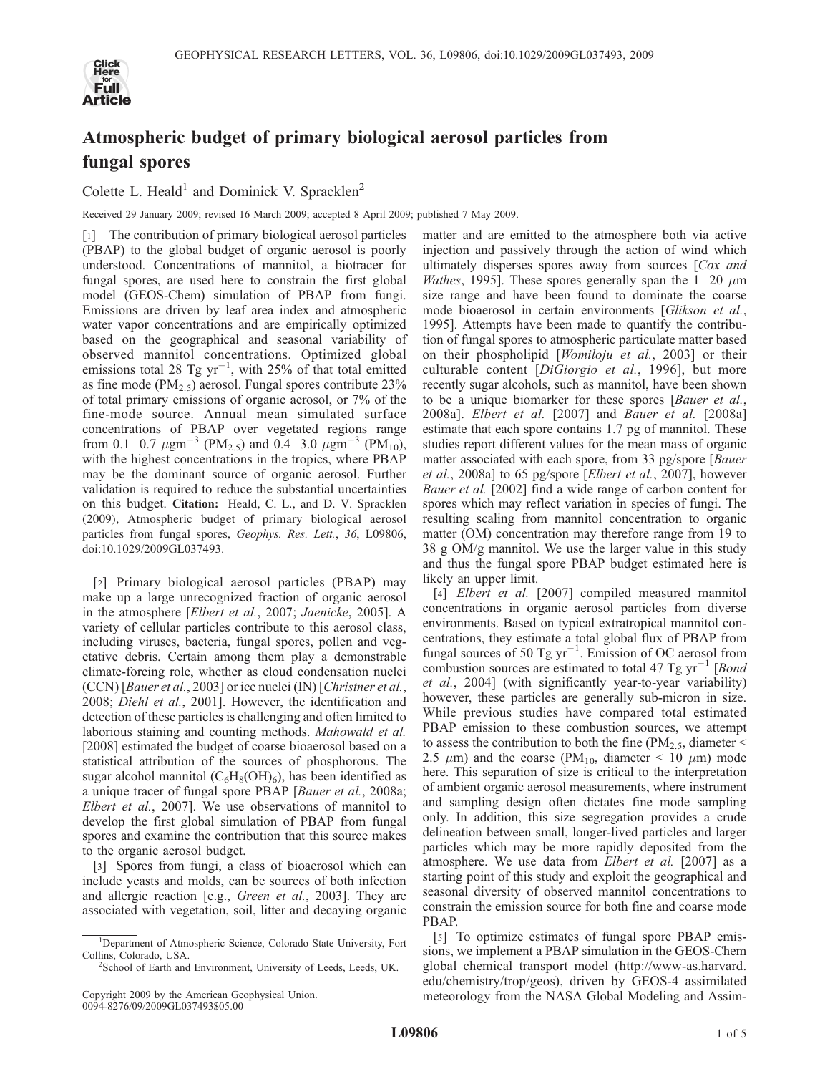

## Atmospheric budget of primary biological aerosol particles from fungal spores

Colette L. Heald<sup>1</sup> and Dominick V. Spracklen<sup>2</sup>

Received 29 January 2009; revised 16 March 2009; accepted 8 April 2009; published 7 May 2009.

[1] The contribution of primary biological aerosol particles (PBAP) to the global budget of organic aerosol is poorly understood. Concentrations of mannitol, a biotracer for fungal spores, are used here to constrain the first global model (GEOS-Chem) simulation of PBAP from fungi. Emissions are driven by leaf area index and atmospheric water vapor concentrations and are empirically optimized based on the geographical and seasonal variability of observed mannitol concentrations. Optimized global emissions total 28 Tg  $yr^{-1}$ , with 25% of that total emitted as fine mode ( $PM_{2.5}$ ) aerosol. Fungal spores contribute 23% of total primary emissions of organic aerosol, or 7% of the fine-mode source. Annual mean simulated surface concentrations of PBAP over vegetated regions range from 0.1–0.7  $\mu$ gm<sup>-3</sup> (PM<sub>2.5</sub>) and 0.4–3.0  $\mu$ gm<sup>-3</sup> (PM<sub>10</sub>), with the highest concentrations in the tropics, where PBAP may be the dominant source of organic aerosol. Further validation is required to reduce the substantial uncertainties on this budget. Citation: Heald, C. L., and D. V. Spracklen (2009), Atmospheric budget of primary biological aerosol particles from fungal spores, Geophys. Res. Lett., 36, L09806, doi:10.1029/2009GL037493.

[2] Primary biological aerosol particles (PBAP) may make up a large unrecognized fraction of organic aerosol in the atmosphere [Elbert et al., 2007; Jaenicke, 2005]. A variety of cellular particles contribute to this aerosol class, including viruses, bacteria, fungal spores, pollen and vegetative debris. Certain among them play a demonstrable climate-forcing role, whether as cloud condensation nuclei (CCN) [Bauer et al., 2003] or ice nuclei (IN) [Christner et al., 2008; Diehl et al., 2001]. However, the identification and detection of these particles is challenging and often limited to laborious staining and counting methods. Mahowald et al. [2008] estimated the budget of coarse bioaerosol based on a statistical attribution of the sources of phosphorous. The sugar alcohol mannitol  $(C_6H_8(OH)_6)$ , has been identified as a unique tracer of fungal spore PBAP [Bauer et al., 2008a; Elbert et al., 2007]. We use observations of mannitol to develop the first global simulation of PBAP from fungal spores and examine the contribution that this source makes to the organic aerosol budget.

[3] Spores from fungi, a class of bioaerosol which can include yeasts and molds, can be sources of both infection and allergic reaction [e.g., *Green et al.*, 2003]. They are associated with vegetation, soil, litter and decaying organic matter and are emitted to the atmosphere both via active injection and passively through the action of wind which ultimately disperses spores away from sources [Cox and *Wathes*, 1995]. These spores generally span the  $1-20 \mu m$ size range and have been found to dominate the coarse mode bioaerosol in certain environments [Glikson et al., 1995]. Attempts have been made to quantify the contribution of fungal spores to atmospheric particulate matter based on their phospholipid [Womiloju et al., 2003] or their culturable content [DiGiorgio et al., 1996], but more recently sugar alcohols, such as mannitol, have been shown to be a unique biomarker for these spores [Bauer et al., 2008a]. Elbert et al. [2007] and Bauer et al. [2008a] estimate that each spore contains 1.7 pg of mannitol. These studies report different values for the mean mass of organic matter associated with each spore, from 33 pg/spore [Bauer et al., 2008a] to 65 pg/spore [Elbert et al., 2007], however Bauer et al. [2002] find a wide range of carbon content for spores which may reflect variation in species of fungi. The resulting scaling from mannitol concentration to organic matter (OM) concentration may therefore range from 19 to 38 g OM/g mannitol. We use the larger value in this study and thus the fungal spore PBAP budget estimated here is likely an upper limit.

[4] *Elbert et al.* [2007] compiled measured mannitol concentrations in organic aerosol particles from diverse environments. Based on typical extratropical mannitol concentrations, they estimate a total global flux of PBAP from fungal sources of 50 Tg  $yr^{-1}$ . Emission of OC aerosol from combustion sources are estimated to total 47 Tg  $\text{yr}^{-1}$  [*Bond*] et al., 2004] (with significantly year-to-year variability) however, these particles are generally sub-micron in size. While previous studies have compared total estimated PBAP emission to these combustion sources, we attempt to assess the contribution to both the fine ( $PM_{2.5}$ , diameter < 2.5  $\mu$ m) and the coarse (PM<sub>10</sub>, diameter < 10  $\mu$ m) mode here. This separation of size is critical to the interpretation of ambient organic aerosol measurements, where instrument and sampling design often dictates fine mode sampling only. In addition, this size segregation provides a crude delineation between small, longer-lived particles and larger particles which may be more rapidly deposited from the atmosphere. We use data from Elbert et al. [2007] as a starting point of this study and exploit the geographical and seasonal diversity of observed mannitol concentrations to constrain the emission source for both fine and coarse mode PBAP.

[5] To optimize estimates of fungal spore PBAP emissions, we implement a PBAP simulation in the GEOS-Chem global chemical transport model (http://www-as.harvard. edu/chemistry/trop/geos), driven by GEOS-4 assimilated meteorology from the NASA Global Modeling and Assim-

<sup>&</sup>lt;sup>1</sup>Department of Atmospheric Science, Colorado State University, Fort Collins, Colorado, USA. <sup>2</sup>

<sup>&</sup>lt;sup>2</sup>School of Earth and Environment, University of Leeds, Leeds, UK.

Copyright 2009 by the American Geophysical Union. 0094-8276/09/2009GL037493\$05.00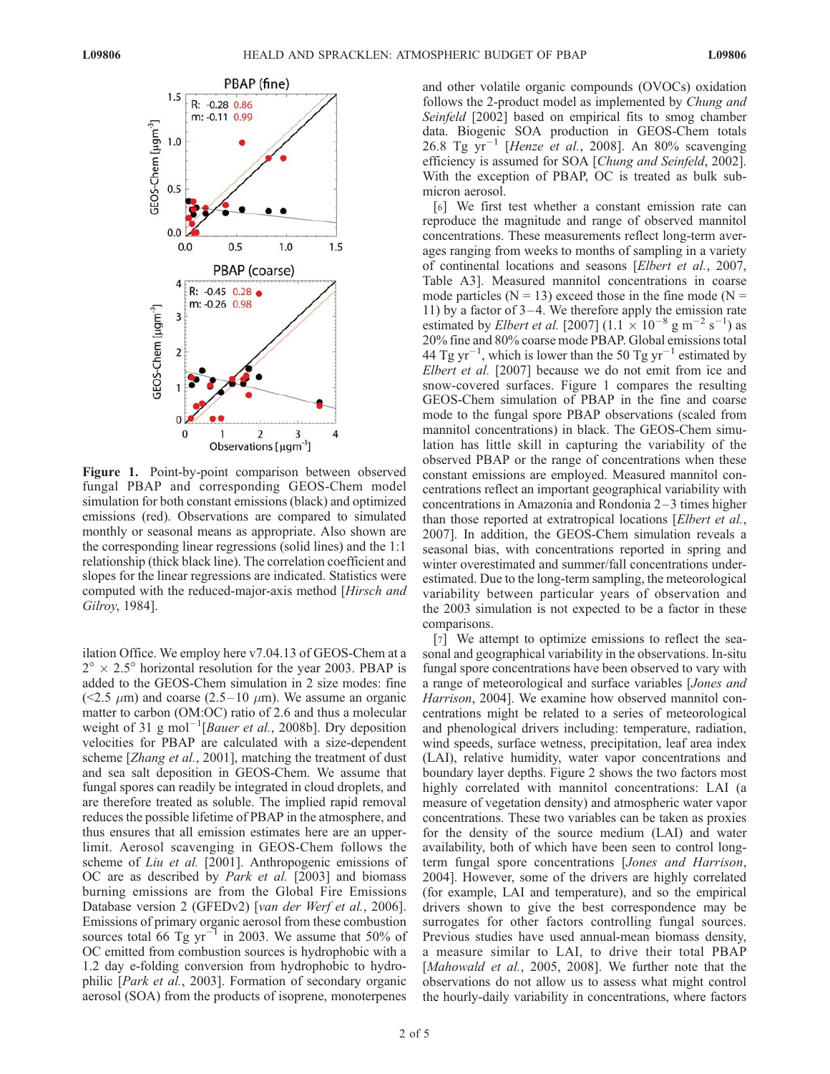

Figure 1. Point-by-point comparison between observed fungal PBAP and corresponding GEOS-Chem model simulation for both constant emissions (black) and optimized emissions (red). Observations are compared to simulated monthly or seasonal means as appropriate. Also shown are the corresponding linear regressions (solid lines) and the 1:1 relationship (thick black line). The correlation coefficient and slopes for the linear regressions are indicated. Statistics were computed with the reduced-major-axis method [Hirsch and Gilroy, 1984].

ilation Office. We employ here v7.04.13 of GEOS-Chem at a  $2^{\circ} \times 2.5^{\circ}$  horizontal resolution for the year 2003. PBAP is added to the GEOS-Chem simulation in 2 size modes: fine (<2.5  $\mu$ m) and coarse (2.5–10  $\mu$ m). We assume an organic matter to carbon (OM:OC) ratio of 2.6 and thus a molecular weight of 31 g mol<sup>-1</sup>[Bauer et al., 2008b]. Dry deposition velocities for PBAP are calculated with a size-dependent scheme [Zhang et al., 2001], matching the treatment of dust and sea salt deposition in GEOS-Chem. We assume that fungal spores can readily be integrated in cloud droplets, and are therefore treated as soluble. The implied rapid removal reduces the possible lifetime of PBAP in the atmosphere, and thus ensures that all emission estimates here are an upperlimit. Aerosol scavenging in GEOS-Chem follows the scheme of *Liu et al.* [2001]. Anthropogenic emissions of OC are as described by *Park et al.* [2003] and biomass burning emissions are from the Global Fire Emissions Database version 2 (GFEDv2) [van der Werf et al., 2006]. Emissions of primary organic aerosol from these combustion sources total 66 Tg yr<sup> $-1$ </sup> in 2003. We assume that 50% of OC emitted from combustion sources is hydrophobic with a 1.2 day e-folding conversion from hydrophobic to hydrophilic [Park et al., 2003]. Formation of secondary organic aerosol (SOA) from the products of isoprene, monoterpenes

and other volatile organic compounds (OVOCs) oxidation follows the 2-product model as implemented by *Chung and* Seinfeld [2002] based on empirical fits to smog chamber data. Biogenic SOA production in GEOS-Chem totals 26.8 Tg  $yr^{-1}$  [Henze et al., 2008]. An 80% scavenging efficiency is assumed for SOA [Chung and Seinfeld, 2002]. With the exception of PBAP, OC is treated as bulk submicron aerosol.

[6] We first test whether a constant emission rate can reproduce the magnitude and range of observed mannitol concentrations. These measurements reflect long-term averages ranging from weeks to months of sampling in a variety of continental locations and seasons [Elbert et al., 2007, Table A3]. Measured mannitol concentrations in coarse mode particles ( $N = 13$ ) exceed those in the fine mode ( $N =$ 11) by a factor of  $3-4$ . We therefore apply the emission rate estimated by *Elbert et al.* [2007]  $(1.1 \times 10^{-8} \text{ g m}^{-2} \text{ s}^{-1})$  as 20% fine and 80% coarse mode PBAP. Global emissions total 44 Tg yr<sup>-1</sup>, which is lower than the 50 Tg yr<sup>-1</sup> estimated by Elbert et al. [2007] because we do not emit from ice and snow-covered surfaces. Figure 1 compares the resulting GEOS-Chem simulation of PBAP in the fine and coarse mode to the fungal spore PBAP observations (scaled from mannitol concentrations) in black. The GEOS-Chem simulation has little skill in capturing the variability of the observed PBAP or the range of concentrations when these constant emissions are employed. Measured mannitol concentrations reflect an important geographical variability with concentrations in Amazonia and Rondonia  $2-3$  times higher than those reported at extratropical locations [Elbert et al., 2007]. In addition, the GEOS-Chem simulation reveals a seasonal bias, with concentrations reported in spring and winter overestimated and summer/fall concentrations underestimated. Due to the long-term sampling, the meteorological variability between particular years of observation and the 2003 simulation is not expected to be a factor in these comparisons.

[7] We attempt to optimize emissions to reflect the seasonal and geographical variability in the observations. In-situ fungal spore concentrations have been observed to vary with a range of meteorological and surface variables [Jones and Harrison, 2004]. We examine how observed mannitol concentrations might be related to a series of meteorological and phenological drivers including: temperature, radiation, wind speeds, surface wetness, precipitation, leaf area index (LAI), relative humidity, water vapor concentrations and boundary layer depths. Figure 2 shows the two factors most highly correlated with mannitol concentrations: LAI (a measure of vegetation density) and atmospheric water vapor concentrations. These two variables can be taken as proxies for the density of the source medium (LAI) and water availability, both of which have been seen to control longterm fungal spore concentrations [Jones and Harrison, 2004]. However, some of the drivers are highly correlated (for example, LAI and temperature), and so the empirical drivers shown to give the best correspondence may be surrogates for other factors controlling fungal sources. Previous studies have used annual-mean biomass density, a measure similar to LAI, to drive their total PBAP [Mahowald et al., 2005, 2008]. We further note that the observations do not allow us to assess what might control the hourly-daily variability in concentrations, where factors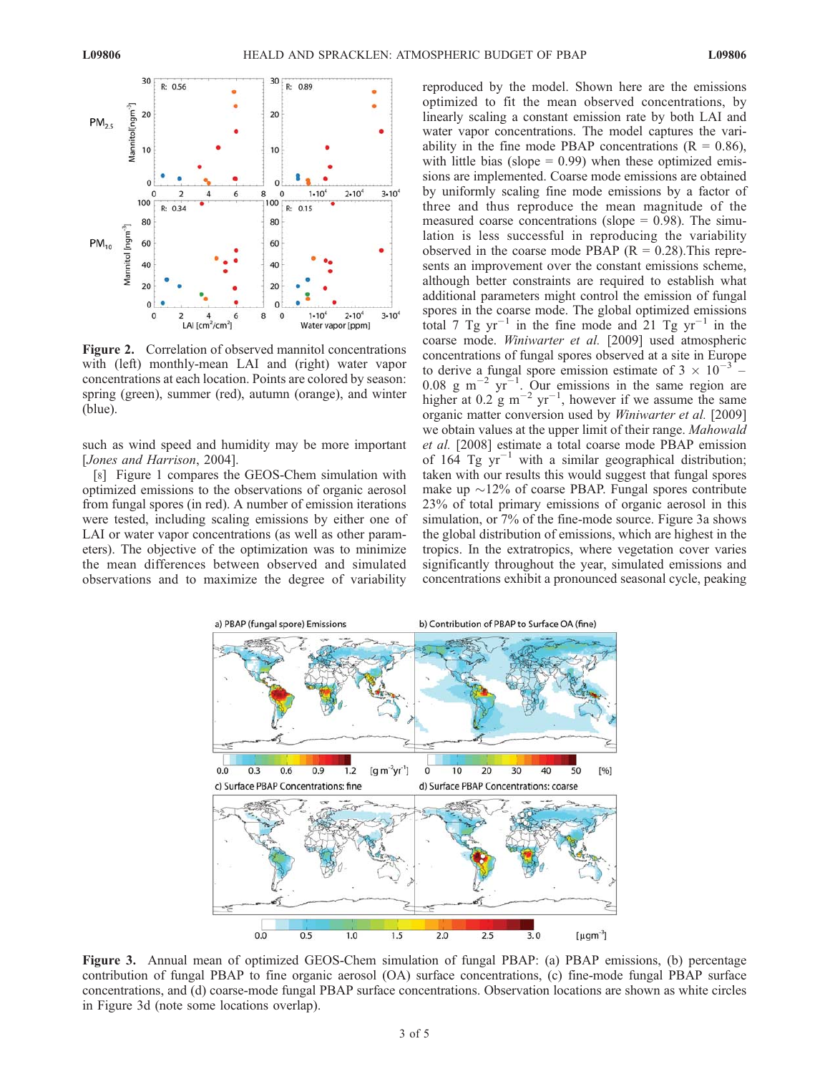

Figure 2. Correlation of observed mannitol concentrations with (left) monthly-mean LAI and (right) water vapor concentrations at each location. Points are colored by season: spring (green), summer (red), autumn (orange), and winter (blue).

such as wind speed and humidity may be more important [Jones and Harrison, 2004].

[8] Figure 1 compares the GEOS-Chem simulation with optimized emissions to the observations of organic aerosol from fungal spores (in red). A number of emission iterations were tested, including scaling emissions by either one of LAI or water vapor concentrations (as well as other parameters). The objective of the optimization was to minimize the mean differences between observed and simulated observations and to maximize the degree of variability

reproduced by the model. Shown here are the emissions optimized to fit the mean observed concentrations, by linearly scaling a constant emission rate by both LAI and water vapor concentrations. The model captures the variability in the fine mode PBAP concentrations  $(R = 0.86)$ , with little bias (slope  $= 0.99$ ) when these optimized emissions are implemented. Coarse mode emissions are obtained by uniformly scaling fine mode emissions by a factor of three and thus reproduce the mean magnitude of the measured coarse concentrations (slope  $= 0.98$ ). The simulation is less successful in reproducing the variability observed in the coarse mode PBAP  $(R = 0.28)$ . This represents an improvement over the constant emissions scheme, although better constraints are required to establish what additional parameters might control the emission of fungal spores in the coarse mode. The global optimized emissions total 7 Tg  $yr^{-1}$  in the fine mode and 21 Tg  $yr^{-1}$  in the coarse mode. Winiwarter et al. [2009] used atmospheric concentrations of fungal spores observed at a site in Europe to derive a fungal spore emission estimate of  $3 \times 10^{-3}$  –  $0.08$  g m<sup>-2</sup> yr<sup>-1</sup>. Our emissions in the same region are higher at 0.2 g m<sup>-2</sup> yr<sup>-1</sup>, however if we assume the same organic matter conversion used by Winiwarter et al. [2009] we obtain values at the upper limit of their range. *Mahowald* et al. [2008] estimate a total coarse mode PBAP emission of 164 Tg  $yr^{-1}$  with a similar geographical distribution; taken with our results this would suggest that fungal spores make up  $\sim$ 12% of coarse PBAP. Fungal spores contribute 23% of total primary emissions of organic aerosol in this simulation, or 7% of the fine-mode source. Figure 3a shows the global distribution of emissions, which are highest in the tropics. In the extratropics, where vegetation cover varies significantly throughout the year, simulated emissions and concentrations exhibit a pronounced seasonal cycle, peaking



Figure 3. Annual mean of optimized GEOS-Chem simulation of fungal PBAP: (a) PBAP emissions, (b) percentage contribution of fungal PBAP to fine organic aerosol (OA) surface concentrations, (c) fine-mode fungal PBAP surface concentrations, and (d) coarse-mode fungal PBAP surface concentrations. Observation locations are shown as white circles in Figure 3d (note some locations overlap).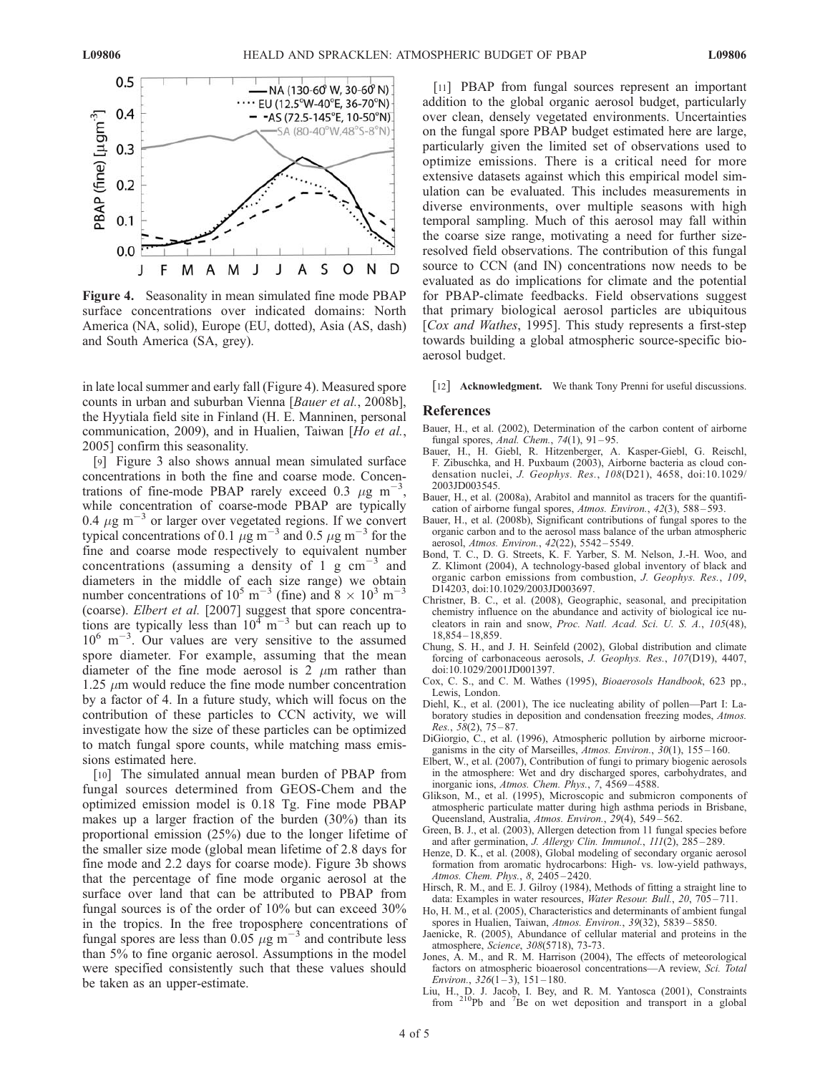

Figure 4. Seasonality in mean simulated fine mode PBAP surface concentrations over indicated domains: North America (NA, solid), Europe (EU, dotted), Asia (AS, dash) and South America (SA, grey).

in late local summer and early fall (Figure 4). Measured spore counts in urban and suburban Vienna [Bauer et al., 2008b], the Hyytiala field site in Finland (H. E. Manninen, personal communication, 2009), and in Hualien, Taiwan [Ho et al., 2005] confirm this seasonality.

[9] Figure 3 also shows annual mean simulated surface concentrations in both the fine and coarse mode. Concentrations of fine-mode PBAP rarely exceed 0.3  $\mu$ g m<sup>-3</sup>, while concentration of coarse-mode PBAP are typically 0.4  $\mu$ g m<sup>-3</sup> or larger over vegetated regions. If we convert typical concentrations of 0.1  $\mu$ g m<sup>-3</sup> and 0.5  $\mu$ g m<sup>-3</sup> for the fine and coarse mode respectively to equivalent number concentrations (assuming a density of 1 g  $cm^{-3}$  and diameters in the middle of each size range) we obtain number concentrations of 10<sup>5</sup> m<sup>-3</sup> (fine) and  $8 \times 10^3$  m<sup>-3</sup> (coarse). Elbert et al. [2007] suggest that spore concentrations are typically less than  $10^4$  m<sup>-3</sup> but can reach up to  $10^6$  m<sup>-3</sup>. Our values are very sensitive to the assumed spore diameter. For example, assuming that the mean diameter of the fine mode aerosol is 2  $\mu$ m rather than 1.25  $\mu$ m would reduce the fine mode number concentration by a factor of 4. In a future study, which will focus on the contribution of these particles to CCN activity, we will investigate how the size of these particles can be optimized to match fungal spore counts, while matching mass emissions estimated here.

[10] The simulated annual mean burden of PBAP from fungal sources determined from GEOS-Chem and the optimized emission model is 0.18 Tg. Fine mode PBAP makes up a larger fraction of the burden (30%) than its proportional emission (25%) due to the longer lifetime of the smaller size mode (global mean lifetime of 2.8 days for fine mode and 2.2 days for coarse mode). Figure 3b shows that the percentage of fine mode organic aerosol at the surface over land that can be attributed to PBAP from fungal sources is of the order of 10% but can exceed 30% in the tropics. In the free troposphere concentrations of fungal spores are less than 0.05  $\mu$ g m<sup>-3</sup> and contribute less than 5% to fine organic aerosol. Assumptions in the model were specified consistently such that these values should be taken as an upper-estimate.

[11] PBAP from fungal sources represent an important addition to the global organic aerosol budget, particularly over clean, densely vegetated environments. Uncertainties on the fungal spore PBAP budget estimated here are large, particularly given the limited set of observations used to optimize emissions. There is a critical need for more extensive datasets against which this empirical model simulation can be evaluated. This includes measurements in diverse environments, over multiple seasons with high temporal sampling. Much of this aerosol may fall within the coarse size range, motivating a need for further sizeresolved field observations. The contribution of this fungal source to CCN (and IN) concentrations now needs to be evaluated as do implications for climate and the potential for PBAP-climate feedbacks. Field observations suggest that primary biological aerosol particles are ubiquitous [Cox and Wathes, 1995]. This study represents a first-step towards building a global atmospheric source-specific bioaerosol budget.

[12] Acknowledgment. We thank Tony Prenni for useful discussions.

## References

- Bauer, H., et al. (2002), Determination of the carbon content of airborne fungal spores, Anal. Chem., 74(1), 91-95.
- Bauer, H., H. Giebl, R. Hitzenberger, A. Kasper-Giebl, G. Reischl, F. Zibuschka, and H. Puxbaum (2003), Airborne bacteria as cloud condensation nuclei, J. Geophys. Res., 108(D21), 4658, doi:10.1029/ 2003JD003545.
- Bauer, H., et al. (2008a), Arabitol and mannitol as tracers for the quantification of airborne fungal spores, Atmos. Environ., 42(3), 588 – 593.
- Bauer, H., et al. (2008b), Significant contributions of fungal spores to the organic carbon and to the aerosol mass balance of the urban atmospheric aerosol, Atmos. Environ., 42(22), 5542 – 5549.
- Bond, T. C., D. G. Streets, K. F. Yarber, S. M. Nelson, J.-H. Woo, and Z. Klimont (2004), A technology-based global inventory of black and organic carbon emissions from combustion, J. Geophys. Res., 109, D14203, doi:10.1029/2003JD003697.
- Christner, B. C., et al. (2008), Geographic, seasonal, and precipitation chemistry influence on the abundance and activity of biological ice nucleators in rain and snow, Proc. Natl. Acad. Sci. U. S. A., 105(48), 18,854 – 18,859.
- Chung, S. H., and J. H. Seinfeld (2002), Global distribution and climate forcing of carbonaceous aerosols, J. Geophys. Res., 107(D19), 4407, doi:10.1029/2001JD001397.
- Cox, C. S., and C. M. Wathes (1995), Bioaerosols Handbook, 623 pp., Lewis, London.
- Diehl, K., et al. (2001), The ice nucleating ability of pollen—Part I: Laboratory studies in deposition and condensation freezing modes, Atmos.  $Res.$ ,  $58(2)$ ,  $75-87$ .
- DiGiorgio, C., et al. (1996), Atmospheric pollution by airborne microorganisms in the city of Marseilles, Atmos. Environ., 30(1), 155-160.
- Elbert, W., et al. (2007), Contribution of fungi to primary biogenic aerosols in the atmosphere: Wet and dry discharged spores, carbohydrates, and inorganic ions, Atmos. Chem. Phys., 7, 4569 – 4588.
- Glikson, M., et al. (1995), Microscopic and submicron components of atmospheric particulate matter during high asthma periods in Brisbane, Queensland, Australia, Atmos. Environ., 29(4), 549-562.
- Green, B. J., et al. (2003), Allergen detection from 11 fungal species before and after germination, *J. Allergy Clin. Immunol.*,  $111(2)$ ,  $285-289$ .
- Henze, D. K., et al. (2008), Global modeling of secondary organic aerosol formation from aromatic hydrocarbons: High- vs. low-yield pathways, Atmos. Chem. Phys., 8, 2405 – 2420.
- Hirsch, R. M., and E. J. Gilroy (1984), Methods of fitting a straight line to data: Examples in water resources, Water Resour. Bull., 20, 705-711.
- Ho, H. M., et al. (2005), Characteristics and determinants of ambient fungal spores in Hualien, Taiwan, Atmos. Environ., 39(32), 5839-5850.
- Jaenicke, R. (2005), Abundance of cellular material and proteins in the atmosphere, Science, 308(5718), 73-73.
- Jones, A. M., and R. M. Harrison (2004), The effects of meteorological factors on atmospheric bioaerosol concentrations—A review, Sci. Total Environ.,  $326(1-3)$ ,  $151-180$ .
- Liu, H., D. J. Jacob, I. Bey, and R. M. Yantosca (2001), Constraints from <sup>210</sup>Pb and <sup>7</sup>Be on wet deposition and transport in a global